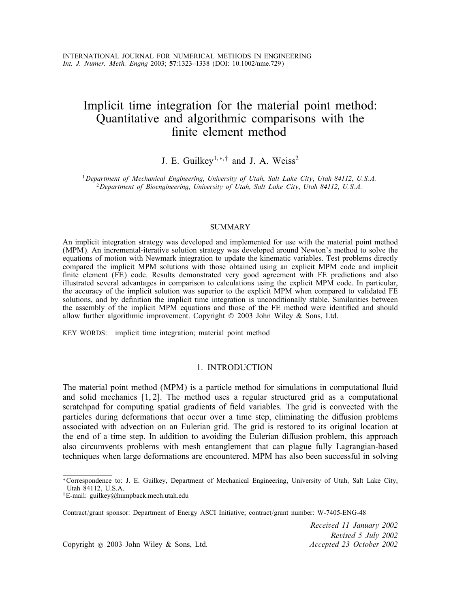# Implicit time integration for the material point method: Quantitative and algorithmic comparisons with the finite element method

## J. E. Guilkey<sup>1,\*,†</sup> and J. A. Weiss<sup>2</sup>

<sup>1</sup>*Department of Mechanical Engineering*; *University of Utah*; *Salt Lake City*; *Utah 84112*; *U.S.A.* <sup>2</sup>*Department of Bioengineering*; *University of Utah*; *Salt Lake City*; *Utah 84112*; *U.S.A.*

#### **SUMMARY**

An implicit integration strategy was developed and implemented for use with the material point method (MPM). An incremental-iterative solution strategy was developed around Newton's method to solve the equations of motion with Newmark integration to update the kinematic variables. Test problems directly compared the implicit MPM solutions with those obtained using an explicit MPM code and implicit finite element (FE) code. Results demonstrated very good agreement with FE predictions and also illustrated several advantages in comparison to calculations using the explicit MPM code. In particular, the accuracy of the implicit solution was superior to the explicit MPM when compared to validated FE solutions, and by definition the implicit time integration is unconditionally stable. Similarities between the assembly of the implicit MPM equations and those of the FE method were identified and should allow further algorithmic improvement. Copyright  $\odot$  2003 John Wiley & Sons, Ltd.

KEY WORDS: implicit time integration; material point method

## 1. INTRODUCTION

The material point method (MPM) is a particle method for simulations in computational fluid and solid mechanics [1, 2]. The method uses a regular structured grid as a computational scratchpad for computing spatial gradients of field variables. The grid is convected with the particles during deformations that occur over a time step, eliminating the diffusion problems associated with advection on an Eulerian grid. The grid is restored to its original location at the end of a time step. In addition to avoiding the Eulerian diffusion problem, this approach also circumvents problems with mesh entanglement that can plague fully Lagrangian-based techniques when large deformations are encountered. MPM has also been successful in solving

Contract/grant sponsor: Department of Energy ASCI Initiative; contract/grant number: W-7405-ENG-48

*Received 11 January 2002 Revised 5 July 2002*

Copyright ? 2003 John Wiley & Sons, Ltd. *Accepted 23 October 2002*

<sup>∗</sup>Correspondence to: J. E. Guilkey, Department of Mechanical Engineering, University of Utah, Salt Lake City, Utah 84112, U.S.A.

<sup>†</sup>E-mail: guilkey@humpback.mech.utah.edu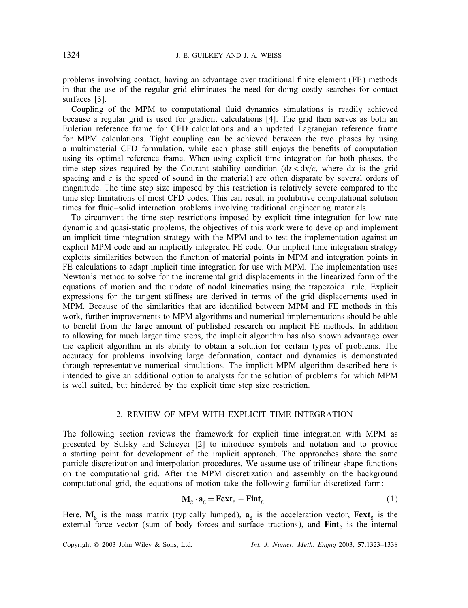problems involving contact, having an advantage over traditional finite element (FE) methods in that the use of the regular grid eliminates the need for doing costly searches for contact surfaces [3].

Coupling of the MPM to computational fluid dynamics simulations is readily achieved because a regular grid is used for gradient calculations [4]. The grid then serves as both an Eulerian reference frame for CFD calculations and an updated Lagrangian reference frame for MPM calculations. Tight coupling can be achieved between the two phases by using a multimaterial CFD formulation, while each phase still enjoys the benefits of computation using its optimal reference frame. When using explicit time integration for both phases, the time step sizes required by the Courant stability condition  $(dt < dx/c$ , where dx is the grid spacing and  $c$  is the speed of sound in the material) are often disparate by several orders of magnitude. The time step size imposed by this restriction is relatively severe compared to the time step limitations of most CFD codes. This can result in prohibitive computational solution times for fluid–solid interaction problems involving traditional engineering materials.

To circumvent the time step restrictions imposed by explicit time integration for low rate dynamic and quasi-static problems, the objectives of this work were to develop and implement an implicit time integration strategy with the MPM and to test the implementation against an explicit MPM code and an implicitly integrated FE code. Our implicit time integration strategy exploits similarities between the function of material points in MPM and integration points in FE calculations to adapt implicit time integration for use with MPM. The implementation uses Newton's method to solve for the incremental grid displacements in the linearized form of the equations of motion and the update of nodal kinematics using the trapezoidal rule. Explicit expressions for the tangent stiffness are derived in terms of the grid displacements used in MPM. Because of the similarities that are identified between MPM and FE methods in this work, further improvements to MPM algorithms and numerical implementations should be able to benefit from the large amount of published research on implicit FE methods. In addition to allowing for much larger time steps, the implicit algorithm has also shown advantage over the explicit algorithm in its ability to obtain a solution for certain types of problems. The accuracy for problems involving large deformation, contact and dynamics is demonstrated through representative numerical simulations. The implicit MPM algorithm described here is intended to give an additional option to analysts for the solution of problems for which MPM is well suited, but hindered by the explicit time step size restriction.

## 2. REVIEW OF MPM WITH EXPLICIT TIME INTEGRATION

The following section reviews the framework for explicit time integration with MPM as presented by Sulsky and Schreyer [2] to introduce symbols and notation and to provide a starting point for development of the implicit approach. The approaches share the same particle discretization and interpolation procedures. We assume use of trilinear shape functions on the computational grid. After the MPM discretization and assembly on the background computational grid, the equations of motion take the following familiar discretized form:

$$
\mathbf{M}_{g} \cdot \mathbf{a}_{g} = \mathbf{F} \mathbf{e} \mathbf{x} \mathbf{t}_{g} - \mathbf{F} \mathbf{in} \mathbf{t}_{g}
$$
 (1)

Here,  $M_g$  is the mass matrix (typically lumped),  $a_g$  is the acceleration vector,  $Fext_g$  is the external force vector (sum of body forces and surface tractions), and  $\text{Fint}_{g}$  is the internal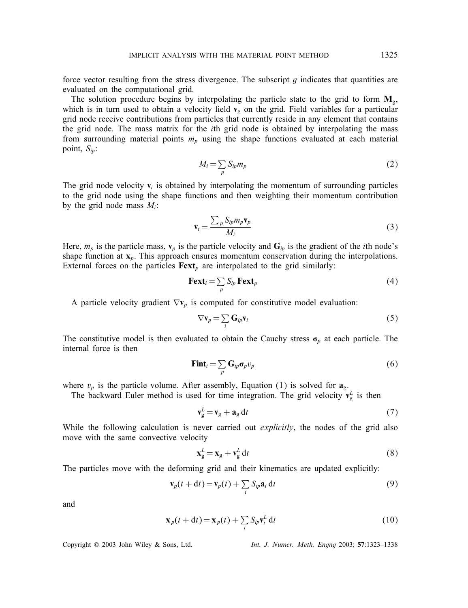force vector resulting from the stress divergence. The subscript  $g$  indicates that quantities are evaluated on the computational grid.

The solution procedure begins by interpolating the particle state to the grid to form  $M_g$ , which is in turn used to obtain a velocity field  $v<sub>g</sub>$  on the grid. Field variables for a particular grid node receive contributions from particles that currently reside in any element that contains the grid node. The mass matrix for the ith grid node is obtained by interpolating the mass from surrounding material points  $m_p$  using the shape functions evaluated at each material point, S*ip*:

$$
M_i = \sum_p S_{ip} m_p \tag{2}
$$

The grid node velocity  $v_i$  is obtained by interpolating the momentum of surrounding particles to the grid node using the shape functions and then weighting their momentum contribution by the grid node mass  $M_i$ :

$$
\mathbf{v}_i = \frac{\sum_p S_{ip} m_p \mathbf{v}_p}{M_i} \tag{3}
$$

Here,  $m_p$  is the particle mass,  $\mathbf{v}_p$  is the particle velocity and  $\mathbf{G}_{ip}$  is the gradient of the *i*th node's shape function at  $x_p$ . This approach ensures momentum conservation during the interpolations. External forces on the particles  $\text{Fext}_p$  are interpolated to the grid similarly:

$$
\textbf{Fext}_i = \sum_p S_{ip} \textbf{Fext}_p \tag{4}
$$

A particle velocity gradient  $\nabla \mathbf{v}_p$  is computed for constitutive model evaluation:

$$
\nabla \mathbf{v}_p = \sum_i \mathbf{G}_{ip} \mathbf{v}_i \tag{5}
$$

The constitutive model is then evaluated to obtain the Cauchy stress  $\sigma_p$  at each particle. The internal force is then

$$
\mathbf{Fint}_{i} = \sum_{p} \mathbf{G}_{ip} \boldsymbol{\sigma}_{p} v_{p} \tag{6}
$$

where  $v_p$  is the particle volume. After assembly, Equation (1) is solved for  $a_g$ .

The backward Euler method is used for time integration. The grid velocity  $v_g^L$  is then

$$
\mathbf{v}_g^L = \mathbf{v}_g + \mathbf{a}_g \, \mathrm{d}t \tag{7}
$$

While the following calculation is never carried out *explicitly*, the nodes of the grid also move with the same convective velocity

$$
\mathbf{x}_g^L = \mathbf{x}_g + \mathbf{v}_g^L \, \mathrm{d}t \tag{8}
$$

The particles move with the deforming grid and their kinematics are updated explicitly:

$$
\mathbf{v}_p(t+dt) = \mathbf{v}_p(t) + \sum_i S_{ip} \mathbf{a}_i dt
$$
\n(9)

and

$$
\mathbf{x}_p(t+dt) = \mathbf{x}_p(t) + \sum_i S_{ip} \mathbf{v}_i^L dt
$$
 (10)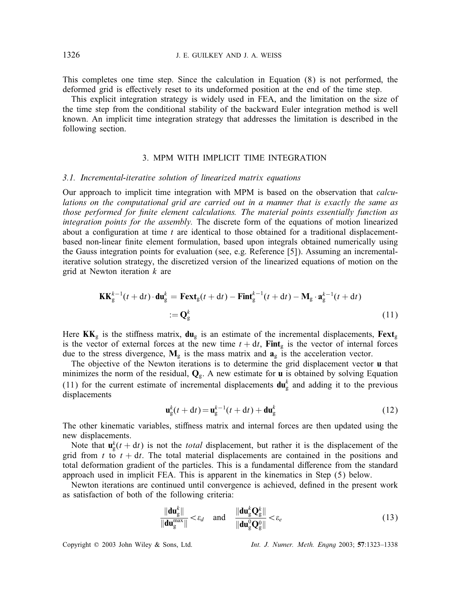This completes one time step. Since the calculation in Equation (8) is not performed, the deformed grid is effectively reset to its undeformed position at the end of the time step.

This explicit integration strategy is widely used in FEA, and the limitation on the size of the time step from the conditional stability of the backward Euler integration method is well known. An implicit time integration strategy that addresses the limitation is described in the following section.

## 3. MPM WITH IMPLICIT TIME INTEGRATION

#### *3.1. Incremental-iterative solution of linearized matrix equations*

Our approach to implicit time integration with MPM is based on the observation that *calculations on the computational grid are carried out in a manner that is exactly the same as those performed for finite element calculations. The material points essentially function as integration points for the assembly.* The discrete form of the equations of motion linearized about a configuration at time  $t$  are identical to those obtained for a traditional displacementbased non-linear finite element formulation, based upon integrals obtained numerically using the Gauss integration points for evaluation (see, e.g. Reference [5]). Assuming an incrementaliterative solution strategy, the discretized version of the linearized equations of motion on the grid at Newton iteration  $k$  are

$$
\mathbf{KK}_{g}^{k-1}(t+dt) \cdot \mathbf{du}_{g}^{k} = \mathbf{Fext}_{g}(t+dt) - \mathbf{Fint}_{g}^{k-1}(t+dt) - \mathbf{M}_{g} \cdot \mathbf{a}_{g}^{k-1}(t+dt)
$$

$$
:= \mathbf{Q}_{g}^{k}
$$
(11)

Here  $KK_g$  is the stiffness matrix,  $du_g$  is an estimate of the incremental displacements,  $Fext_g$ is the vector of external forces at the new time  $t + dt$ , Fint<sub>g</sub> is the vector of internal forces due to the stress divergence,  $M_g$  is the mass matrix and  $a_g$  is the acceleration vector.

The objective of the Newton iterations is to determine the grid displacement vector u that minimizes the norm of the residual,  $Q<sub>g</sub>$ . A new estimate for **u** is obtained by solving Equation (11) for the current estimate of incremental displacements  $du_g^k$  and adding it to the previous displacements

$$
\mathbf{u}_{g}^{k}(t+dt) = \mathbf{u}_{g}^{k-1}(t+dt) + \mathbf{du}_{g}^{k}
$$
 (12)

The other kinematic variables, stiffness matrix and internal forces are then updated using the new displacements.

Note that  $\mathbf{u}_{g}^{k}(t + dt)$  is not the *total* displacement, but rather it is the displacement of the grid from t to  $t + dt$ . The total material displacements are contained in the positions and total deformation gradient of the particles. This is a fundamental difference from the standard approach used in implicit FEA. This is apparent in the kinematics in Step (5) below.

Newton iterations are continued until convergence is achieved, defined in the present work as satisfaction of both of the following criteria:

$$
\frac{\|\mathbf{du}_{g}^{k}\|}{\|\mathbf{du}_{g}^{\max}\|} < \varepsilon_{d} \quad \text{and} \quad \frac{\|\mathbf{du}_{g}^{k}\mathbf{Q}_{g}^{k}\|}{\|\mathbf{du}_{g}^{0}\mathbf{Q}_{g}^{0}\|} < \varepsilon_{e}
$$
\n(13)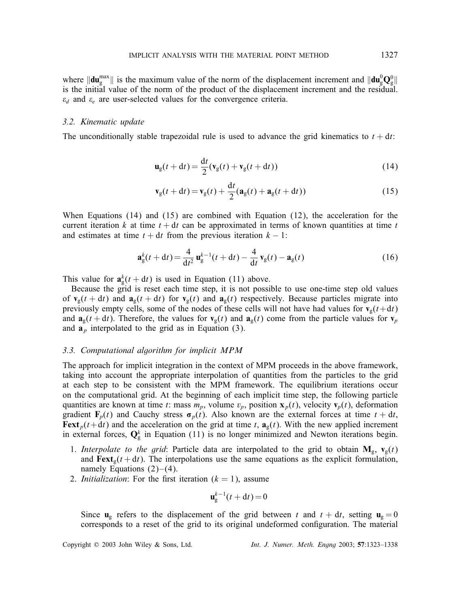where  $\|\mathbf{du}_{g}^{\text{max}}\|$  is the maximum value of the norm of the displacement increment and  $\|\mathbf{du}_{g}^0\mathbf{Q}_{g}^0\|$ is the initial value of the norm of the product of the displacement increment and the residual.  $\varepsilon_d$  and  $\varepsilon_e$  are user-selected values for the convergence criteria.

#### *3.2. Kinematic update*

The unconditionally stable trapezoidal rule is used to advance the grid kinematics to  $t + dt$ :

$$
\mathbf{u}_{g}(t+dt) = \frac{dt}{2}(\mathbf{v}_{g}(t) + \mathbf{v}_{g}(t+dt))
$$
\n(14)

$$
\mathbf{v}_g(t+dt) = \mathbf{v}_g(t) + \frac{dt}{2}(\mathbf{a}_g(t) + \mathbf{a}_g(t+dt))
$$
\n(15)

When Equations (14) and (15) are combined with Equation (12), the acceleration for the current iteration k at time  $t + dt$  can be approximated in terms of known quantities at time t and estimates at time  $t + dt$  from the previous iteration  $k - 1$ :

$$
\mathbf{a}_{g}^{k}(t+dt) = \frac{4}{dt^{2}} \mathbf{u}_{g}^{k-1}(t+dt) - \frac{4}{dt} \mathbf{v}_{g}(t) - \mathbf{a}_{g}(t)
$$
 (16)

This value for  $\mathbf{a}_{g}^{k}(t + dt)$  is used in Equation (11) above.

Because the grid is reset each time step, it is not possible to use one-time step old values of  $\mathbf{v}_g(t + dt)$  and  $\mathbf{a}_g(t + dt)$  for  $\mathbf{v}_g(t)$  and  $\mathbf{a}_g(t)$  respectively. Because particles migrate into previously empty cells, some of the nodes of these cells will not have had values for  $v_g(t+dt)$ and  $\mathbf{a}_{g}(t + dt)$ . Therefore, the values for  $\mathbf{v}_{g}(t)$  and  $\mathbf{a}_{g}(t)$  come from the particle values for  $\mathbf{v}_{p}$ and  $\mathbf{a}_p$  interpolated to the grid as in Equation (3).

#### *3.3. Computational algorithm for implicit MPM*

The approach for implicit integration in the context of MPM proceeds in the above framework, taking into account the appropriate interpolation of quantities from the particles to the grid at each step to be consistent with the MPM framework. The equilibrium iterations occur on the computational grid. At the beginning of each implicit time step, the following particle quantities are known at time t: mass  $m_p$ , volume  $v_p$ , position  $\mathbf{x}_p(t)$ , velocity  $\mathbf{v}_p(t)$ , deformation gradient  $\mathbf{F}_p(t)$  and Cauchy stress  $\sigma_p(t)$ . Also known are the external forces at time  $t + dt$ , **Fext**<sub>p</sub>(t+dt) and the acceleration on the grid at time t,  $\mathbf{a}_g(t)$ . With the new applied increment in external forces,  $\mathbf{Q}_{g}^{k}$  in Equation (11) is no longer minimized and Newton iterations begin.

- 1. *Interpolate to the grid*: Particle data are interpolated to the grid to obtain  $\mathbf{M}_{g}$ ,  $\mathbf{v}_{g}(t)$ and  $\text{Fext}_g(t + dt)$ . The interpolations use the same equations as the explicit formulation, namely Equations  $(2)$ – $(4)$ .
- 2. *Initialization*: For the first iteration  $(k = 1)$ , assume

$$
\mathbf{u}_{\mathrm{g}}^{k-1}(t+\mathrm{d}t)\!=\!0
$$

Since  $\mathbf{u}_{g}$  refers to the displacement of the grid between t and  $t + dt$ , setting  $\mathbf{u}_{g} = 0$ corresponds to a reset of the grid to its original undeformed configuration. The material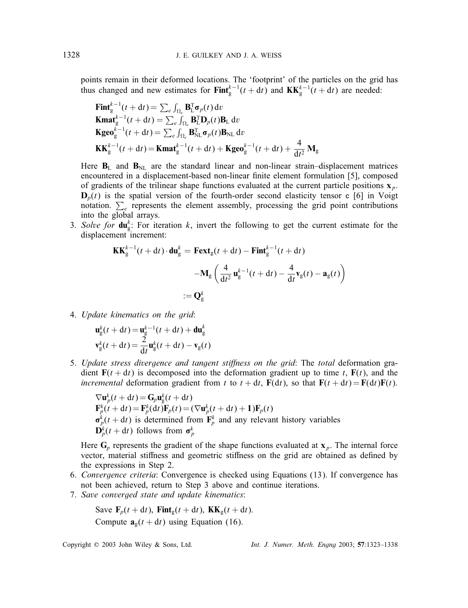points remain in their deformed locations. The 'footprint' of the particles on the grid has thus changed and new estimates for  $\text{Fint}_{g}^{k-1}(t + dt)$  and  $\text{KK}_g^{k-1}(t + dt)$  are needed:

$$
\begin{aligned}\n\mathbf{Fint}_{\mathrm{g}}^{k-1}(t+\mathrm{d}t) &= \sum_{e} \int_{\Omega_{e}} \mathbf{B}_{\mathrm{L}}^{T} \boldsymbol{\sigma}_{p}(t) \, \mathrm{d}v \\
\mathbf{Kmat}_{\mathrm{g}}^{k-1}(t+\mathrm{d}t) &= \sum_{e} \int_{\Omega_{e}} \mathbf{B}_{\mathrm{L}}^{T} \mathbf{D}_{p}(t) \mathbf{B}_{\mathrm{L}} \, \mathrm{d}v \\
\mathbf{Kg} \mathbf{e} \mathbf{o}_{\mathrm{g}}^{k-1}(t+\mathrm{d}t) &= \sum_{e} \int_{\Omega_{e}} \mathbf{B}_{\mathrm{NL}}^{T} \boldsymbol{\sigma}_{p}(t) \mathbf{B}_{\mathrm{NL}} \, \mathrm{d}v \\
\mathbf{KK}_{\mathrm{g}}^{k-1}(t+\mathrm{d}t) &= \mathbf{Kmat}_{\mathrm{g}}^{k-1}(t+\mathrm{d}t) + \mathbf{Kg} \mathbf{e} \mathbf{o}_{\mathrm{g}}^{k-1}(t+\mathrm{d}t) + \frac{4}{\mathrm{d}t^{2}} \mathbf{M}_{\mathrm{g}}\n\end{aligned}
$$

Here  $B_L$  and  $B_{NL}$  are the standard linear and non-linear strain–displacement matrices encountered in a displacement-based non-linear finite element formulation [5], composed of gradients of the trilinear shape functions evaluated at the current particle positions  $x_p$ .  $\mathbf{D}_p(t)$  is the spatial version of the fourth-order second elasticity tensor c [6] in Voigt notation.  $\sum_{e}$  represents the element assembly, processing the grid point contributions into the global arrays.

3. *Solve for*  $du_g^k$ : For iteration k, invert the following to get the current estimate for the displacement increment:

$$
\mathbf{K} \mathbf{K}_{g}^{k-1}(t + dt) \cdot \mathbf{du}_{g}^{k} = \mathbf{F} \mathbf{ext}_{g}(t + dt) - \mathbf{F} \mathbf{int}_{g}^{k-1}(t + dt)
$$

$$
- \mathbf{M}_{g} \left( \frac{4}{dt^{2}} \mathbf{u}_{g}^{k-1}(t + dt) - \frac{4}{dt} \mathbf{v}_{g}(t) - \mathbf{a}_{g}(t) \right)
$$

$$
:= \mathbf{Q}_{g}^{k}
$$

4. *Update kinematics on the grid*:

$$
\mathbf{u}_{\mathrm{g}}^{k}(t+\mathrm{d}t) = \mathbf{u}_{\mathrm{g}}^{k-1}(t+\mathrm{d}t) + \mathbf{d}\mathbf{u}_{\mathrm{g}}^{k}
$$

$$
\mathbf{v}_{\mathrm{g}}^{k}(t+\mathrm{d}t) = \frac{2}{\mathrm{d}t}\mathbf{u}_{\mathrm{g}}^{k}(t+\mathrm{d}t) - \mathbf{v}_{\mathrm{g}}(t)
$$

5. Update stress divergence and tangent stiffness on the grid: The total deformation gradient  $F(t + dt)$  is decomposed into the deformation gradient up to time t,  $F(t)$ , and the *incremental* deformation gradient from t to  $t + dt$ ,  $F(dt)$ , so that  $F(t + dt) = F(dt)F(t)$ .

$$
\nabla \mathbf{u}_p^k(t + dt) = \mathbf{G}_p \mathbf{u}_g^k(t + dt)
$$
  
\n
$$
\mathbf{F}_p^k(t + dt) = \mathbf{F}_p^k(dt)\mathbf{F}_p(t) = (\nabla \mathbf{u}_p^k(t + dt) + 1)\mathbf{F}_p(t)
$$
  
\n
$$
\sigma_p^k(t + dt)
$$
 is determined from  $\mathbf{F}_p^k$  and any relevant history variables  
\n
$$
\mathbf{D}_p^k(t + dt)
$$
 follows from  $\sigma_p^k$ 

Here  $G_p$  represents the gradient of the shape functions evaluated at  $x_p$ . The internal force vector, material stiffness and geometric stiffness on the grid are obtained as defined by the expressions in Step 2.

- 6. *Convergence criteria*: Convergence is checked using Equations (13). If convergence has not been achieved, return to Step 3 above and continue iterations.
- 7. *Save converged state and update kinematics*:

Save 
$$
\mathbf{F}_p(t + dt)
$$
,  $\mathbf{Fint}_g(t + dt)$ ,  $\mathbf{KK}_g(t + dt)$ .  
Compute  $\mathbf{a}_g(t + dt)$  using Equation (16).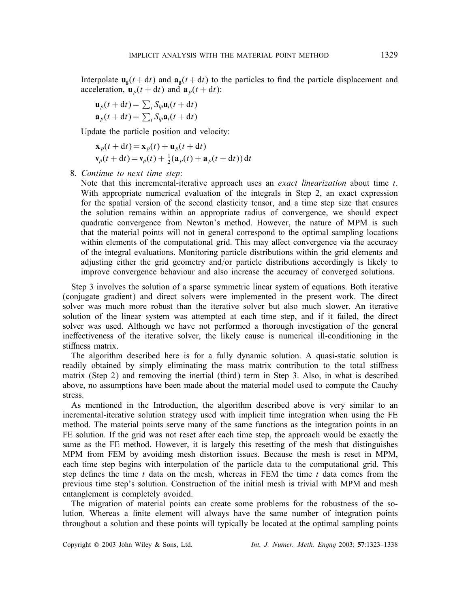Interpolate  $\mathbf{u}_g(t + dt)$  and  $\mathbf{a}_g(t + dt)$  to the particles to find the particle displacement and acceleration,  $\mathbf{u}_p(t + dt)$  and  $\mathbf{a}_p(t + dt)$ :

$$
\mathbf{u}_p(t + dt) = \sum_i S_{ip} \mathbf{u}_i(t + dt)
$$

$$
\mathbf{a}_p(t + dt) = \sum_i S_{ip} \mathbf{a}_i(t + dt)
$$

Update the particle position and velocity:

$$
\mathbf{x}_p(t+dt) = \mathbf{x}_p(t) + \mathbf{u}_p(t+dt)
$$
  
\n
$$
\mathbf{v}_p(t+dt) = \mathbf{v}_p(t) + \frac{1}{2}(\mathbf{a}_p(t) + \mathbf{a}_p(t+dt)) dt
$$

8. *Continue to next time step*:

Note that this incremental-iterative approach uses an *exact linearization* about time t. With appropriate numerical evaluation of the integrals in Step 2, an exact expression for the spatial version of the second elasticity tensor, and a time step size that ensures the solution remains within an appropriate radius of convergence, we should expect quadratic convergence from Newton's method. However, the nature of MPM is such that the material points will not in general correspond to the optimal sampling locations within elements of the computational grid. This may affect convergence via the accuracy of the integral evaluations. Monitoring particle distributions within the grid elements and adjusting either the grid geometry and/or particle distributions accordingly is likely to improve convergence behaviour and also increase the accuracy of converged solutions.

Step 3 involves the solution of a sparse symmetric linear system of equations. Both iterative (conjugate gradient) and direct solvers were implemented in the present work. The direct solver was much more robust than the iterative solver but also much slower. An iterative solution of the linear system was attempted at each time step, and if it failed, the direct solver was used. Although we have not performed a thorough investigation of the general ineffectiveness of the iterative solver, the likely cause is numerical ill-conditioning in the stiffness matrix.

The algorithm described here is for a fully dynamic solution. A quasi-static solution is readily obtained by simply eliminating the mass matrix contribution to the total stiffness matrix (Step 2) and removing the inertial (third) term in Step 3. Also, in what is described above, no assumptions have been made about the material model used to compute the Cauchy stress.

As mentioned in the Introduction, the algorithm described above is very similar to an incremental-iterative solution strategy used with implicit time integration when using the FE method. The material points serve many of the same functions as the integration points in an FE solution. If the grid was not reset after each time step, the approach would be exactly the same as the FE method. However, it is largely this resetting of the mesh that distinguishes MPM from FEM by avoiding mesh distortion issues. Because the mesh is reset in MPM, each time step begins with interpolation of the particle data to the computational grid. This step defines the time t data on the mesh, whereas in FEM the time t data comes from the previous time step's solution. Construction of the initial mesh is trivial with MPM and mesh entanglement is completely avoided.

The migration of material points can create some problems for the robustness of the solution. Whereas a finite element will always have the same number of integration points throughout a solution and these points will typically be located at the optimal sampling points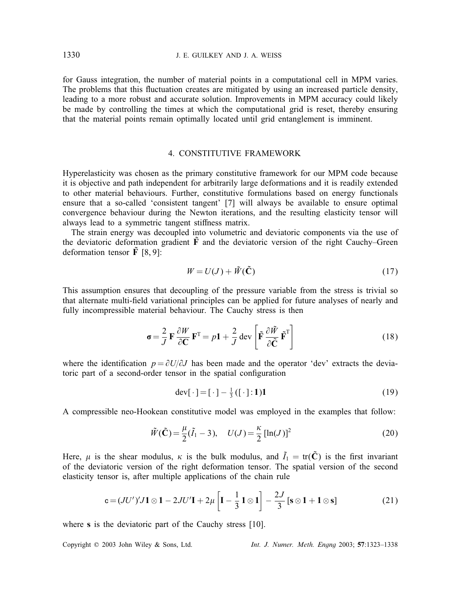for Gauss integration, the number of material points in a computational cell in MPM varies. The problems that this fluctuation creates are mitigated by using an increased particle density, leading to a more robust and accurate solution. Improvements in MPM accuracy could likely be made by controlling the times at which the computational grid is reset, thereby ensuring that the material points remain optimally located until grid entanglement is imminent.

## 4. CONSTITUTIVE FRAMEWORK

Hyperelasticity was chosen as the primary constitutive framework for our MPM code because it is objective and path independent for arbitrarily large deformations and it is readily extended to other material behaviours. Further, constitutive formulations based on energy functionals ensure that a so-called 'consistent tangent' [7] will always be available to ensure optimal convergence behaviour during the Newton iterations, and the resulting elasticity tensor will always lead to a symmetric tangent stiffness matrix.

The strain energy was decoupled into volumetric and deviatoric components via the use of the deviatoric deformation gradient  $\tilde{F}$  and the deviatoric version of the right Cauchy–Green deformation tensor  $\tilde{F}$  [8, 9]:

$$
W = U(J) + \tilde{W}(\tilde{\mathbf{C}})
$$
\n<sup>(17)</sup>

This assumption ensures that decoupling of the pressure variable from the stress is trivial so that alternate multi-field variational principles can be applied for future analyses of nearly and fully incompressible material behaviour. The Cauchy stress is then

$$
\sigma = \frac{2}{J} \mathbf{F} \frac{\partial W}{\partial \mathbf{C}} \mathbf{F}^{\mathrm{T}} = p\mathbf{1} + \frac{2}{J} \operatorname{dev} \left[ \tilde{\mathbf{F}} \frac{\partial \tilde{W}}{\partial \tilde{\mathbf{C}}} \tilde{\mathbf{F}}^{\mathrm{T}} \right]
$$
(18)

where the identification  $p = \partial U/\partial J$  has been made and the operator 'dev' extracts the deviatoric part of a second-order tensor in the spatial configuration

$$
\text{dev}[\cdot] = [\cdot] - \frac{1}{3}([\cdot]; 1)1\tag{19}
$$

A compressible neo-Hookean constitutive model was employed in the examples that follow:

$$
\tilde{W}(\tilde{\mathbf{C}}) = \frac{\mu}{2}(\tilde{I}_1 - 3), \quad U(J) = \frac{\kappa}{2} [\ln(J)]^2
$$
\n(20)

Here,  $\mu$  is the shear modulus,  $\kappa$  is the bulk modulus, and  $\tilde{I}_1 = \text{tr}(\tilde{\mathbf{C}})$  is the first invariant of the deviatoric version of the right deformation tensor. The spatial version of the second elasticity tensor is, after multiple applications of the chain rule

$$
\mathbf{c} = (JU')'J\mathbf{1} \otimes \mathbf{1} - 2JU'\mathbf{I} + 2\mu \left[ \mathbf{I} - \frac{1}{3}\mathbf{1} \otimes \mathbf{1} \right] - \frac{2J}{3} \left[ \mathbf{s} \otimes \mathbf{1} + \mathbf{1} \otimes \mathbf{s} \right]
$$
(21)

where s is the deviatoric part of the Cauchy stress [10].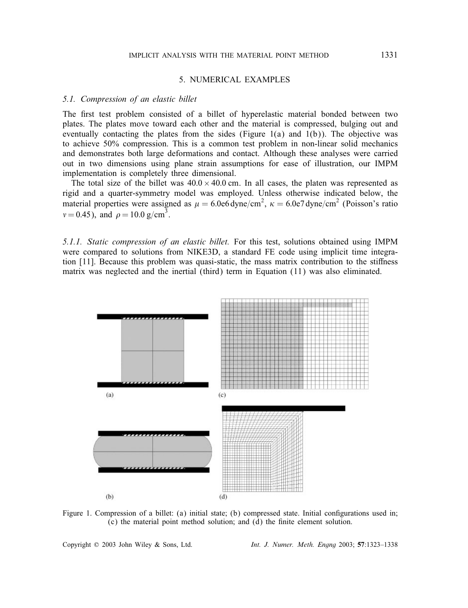### 5. NUMERICAL EXAMPLES

#### *5.1. Compression of an elastic billet*

The first test problem consisted of a billet of hyperelastic material bonded between two plates. The plates move toward each other and the material is compressed, bulging out and eventually contacting the plates from the sides (Figure  $1(a)$  and  $1(b)$ ). The objective was to achieve 50% compression. This is a common test problem in non-linear solid mechanics and demonstrates both large deformations and contact. Although these analyses were carried out in two dimensions using plane strain assumptions for ease of illustration, our IMPM implementation is completely three dimensional.

The total size of the billet was  $40.0 \times 40.0$  cm. In all cases, the platen was represented as rigid and a quarter-symmetry model was employed. Unless otherwise indicated below, the material properties were assigned as  $\mu = 6.0$ e6 dyne/cm<sup>2</sup>,  $\kappa = 6.0$ e7 dyne/cm<sup>2</sup> (Poisson's ratio  $v = 0.45$ ), and  $\rho = 10.0 \text{ g/cm}^3$ .

*5.1.1. Static compression of an elastic billet.* For this test, solutions obtained using IMPM were compared to solutions from NIKE3D, a standard FE code using implicit time integration [11]. Because this problem was quasi-static, the mass matrix contribution to the stiffness matrix was neglected and the inertial (third) term in Equation (11) was also eliminated.



Figure 1. Compression of a billet: (a) initial state; (b) compressed state. Initial configurations used in;  $(c)$  the material point method solution; and  $(d)$  the finite element solution.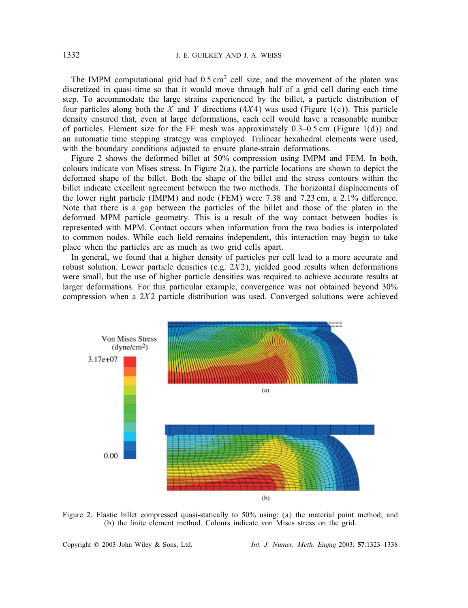The IMPM computational grid had  $0.5 \text{ cm}^2$  cell size, and the movement of the platen was discretized in quasi-time so that it would move through half of a grid cell during each time step. To accommodate the large strains experienced by the billet, a particle distribution of four particles along both the X and Y directions (4X4) was used (Figure 1(c)). This particle density ensured that, even at large deformations, each cell would have a reasonable number of particles. Element size for the FE mesh was approximately  $0.3-0.5$  cm (Figure 1(d)) and an automatic time stepping strategy was employed. Trilinear hexahedral elements were used, with the boundary conditions adjusted to ensure plane-strain deformations.

Figure 2 shows the deformed billet at 50% compression using IMPM and FEM. In both, colours indicate von Mises stress. In Figure 2(a), the particle locations are shown to depict the deformed shape of the billet. Both the shape of the billet and the stress contours within the billet indicate excellent agreement between the two methods. The horizontal displacements of the lower right particle (IMPM) and node (FEM) were  $7.38$  and  $7.23$  cm, a  $2.1\%$  difference. Note that there is a gap between the particles of the billet and those of the platen in the deformed MPM particle geometry. This is a result of the way contact between bodies is represented with MPM. Contact occurs when information from the two bodies is interpolated to common nodes. While each field remains independent, this interaction may begin to take place when the particles are as much as two grid cells apart.

In general, we found that a higher density of particles per cell lead to a more accurate and robust solution. Lower particle densities (e.g.  $2X2$ ), yielded good results when deformations were small, but the use of higher particle densities was required to achieve accurate results at larger deformations. For this particular example, convergence was not obtained beyond 30% compression when a  $2X2$  particle distribution was used. Converged solutions were achieved



Figure 2. Elastic billet compressed quasi-statically to 50% using: (a) the material point method; and (b) the finite element method. Colours indicate von Mises stress on the grid.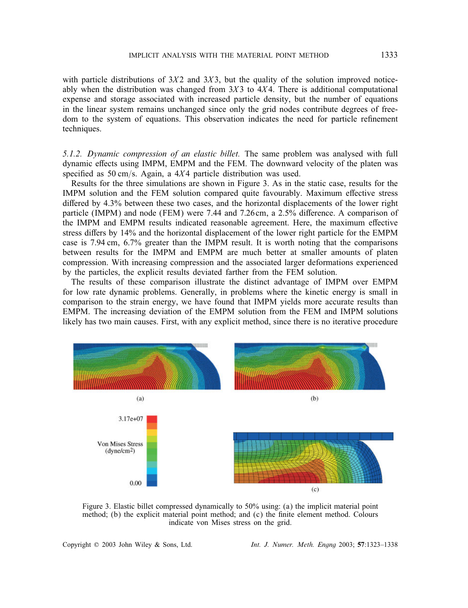with particle distributions of  $3X2$  and  $3X3$ , but the quality of the solution improved noticeably when the distribution was changed from  $3X3$  to  $4X4$ . There is additional computational expense and storage associated with increased particle density, but the number of equations in the linear system remains unchanged since only the grid nodes contribute degrees of freedom to the system of equations. This observation indicates the need for particle refinement techniques.

*5.1.2. Dynamic compression of an elastic billet.* The same problem was analysed with full dynamic effects using IMPM, EMPM and the FEM. The downward velocity of the platen was specified as 50 cm/s. Again, a  $4X4$  particle distribution was used.

Results for the three simulations are shown in Figure 3. As in the static case, results for the IMPM solution and the FEM solution compared quite favourably. Maximum effective stress differed by 4.3% between these two cases, and the horizontal displacements of the lower right particle (IMPM) and node (FEM) were 7.44 and 7.26cm, a  $2.5\%$  difference. A comparison of the IMPM and EMPM results indicated reasonable agreement. Here, the maximum effective stress differs by 14% and the horizontal displacement of the lower right particle for the EMPM case is 7:94 cm, 6.7% greater than the IMPM result. It is worth noting that the comparisons between results for the IMPM and EMPM are much better at smaller amounts of platen compression. With increasing compression and the associated larger deformations experienced by the particles, the explicit results deviated farther from the FEM solution.

The results of these comparison illustrate the distinct advantage of IMPM over EMPM for low rate dynamic problems. Generally, in problems where the kinetic energy is small in comparison to the strain energy, we have found that IMPM yields more accurate results than EMPM. The increasing deviation of the EMPM solution from the FEM and IMPM solutions likely has two main causes. First, with any explicit method, since there is no iterative procedure



Figure 3. Elastic billet compressed dynamically to 50% using: (a) the implicit material point method; (b) the explicit material point method; and (c) the finite element method. Colours indicate von Mises stress on the grid.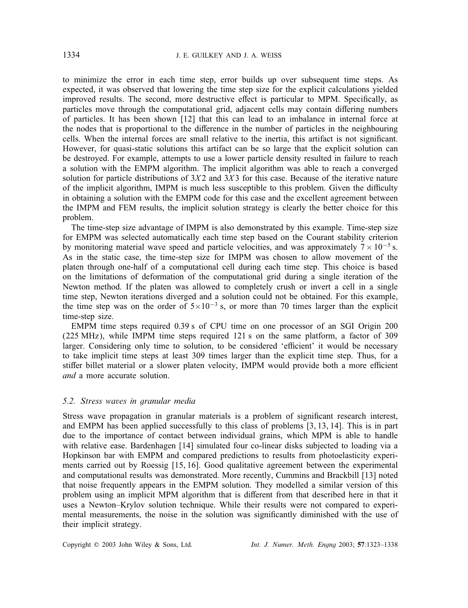to minimize the error in each time step, error builds up over subsequent time steps. As expected, it was observed that lowering the time step size for the explicit calculations yielded improved results. The second, more destructive effect is particular to MPM. Specifically, as particles move through the computational grid, adjacent cells may contain differing numbers of particles. It has been shown [12] that this can lead to an imbalance in internal force at the nodes that is proportional to the difference in the number of particles in the neighbouring cells. When the internal forces are small relative to the inertia, this artifact is not signicant. However, for quasi-static solutions this artifact can be so large that the explicit solution can be destroyed. For example, attempts to use a lower particle density resulted in failure to reach a solution with the EMPM algorithm. The implicit algorithm was able to reach a converged solution for particle distributions of  $3X2$  and  $3X3$  for this case. Because of the iterative nature of the implicit algorithm, IMPM is much less susceptible to this problem. Given the difficulty in obtaining a solution with the EMPM code for this case and the excellent agreement between the IMPM and FEM results, the implicit solution strategy is clearly the better choice for this problem.

The time-step size advantage of IMPM is also demonstrated by this example. Time-step size for EMPM was selected automatically each time step based on the Courant stability criterion by monitoring material wave speed and particle velocities, and was approximately  $7 \times 10^{-5}$  s. As in the static case, the time-step size for IMPM was chosen to allow movement of the platen through one-half of a computational cell during each time step. This choice is based on the limitations of deformation of the computational grid during a single iteration of the Newton method. If the platen was allowed to completely crush or invert a cell in a single time step, Newton iterations diverged and a solution could not be obtained. For this example, the time step was on the order of  $5\times10^{-3}$  s, or more than 70 times larger than the explicit time-step size.

EMPM time steps required 0:39 s of CPU time on one processor of an SGI Origin 200 (225 MHz), while IMPM time steps required 121 s on the same platform, a factor of 309 larger. Considering only time to solution, to be considered 'efficient' it would be necessary to take implicit time steps at least 309 times larger than the explicit time step. Thus, for a stiffer billet material or a slower platen velocity, IMPM would provide both a more efficient *and* a more accurate solution.

#### *5.2. Stress waves in granular media*

Stress wave propagation in granular materials is a problem of significant research interest, and EMPM has been applied successfully to this class of problems [3, 13, 14]. This is in part due to the importance of contact between individual grains, which MPM is able to handle with relative ease. Bardenhagen [14] simulated four co-linear disks subjected to loading via a Hopkinson bar with EMPM and compared predictions to results from photoelasticity experiments carried out by Roessig [15, 16]. Good qualitative agreement between the experimental and computational results was demonstrated. More recently, Cummins and Brackbill [13] noted that noise frequently appears in the EMPM solution. They modelled a similar version of this problem using an implicit MPM algorithm that is different from that described here in that it uses a Newton–Krylov solution technique. While their results were not compared to experimental measurements, the noise in the solution was significantly diminished with the use of their implicit strategy.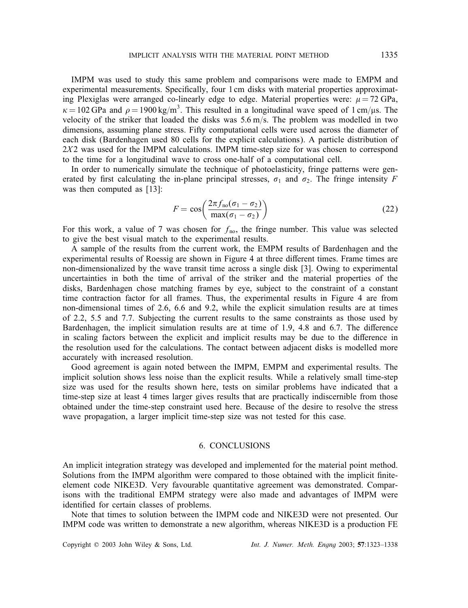IMPM was used to study this same problem and comparisons were made to EMPM and experimental measurements. Specifically, four 1 cm disks with material properties approximating Plexiglas were arranged co-linearly edge to edge. Material properties were:  $\mu = 72$  GPa,  $\kappa = 102$  GPa and  $\rho = 1900 \text{ kg/m}^3$ . This resulted in a longitudinal wave speed of 1 cm/ $\mu$ s. The velocity of the striker that loaded the disks was  $5.6 \text{ m/s}$ . The problem was modelled in two dimensions, assuming plane stress. Fifty computational cells were used across the diameter of each disk (Bardenhagen used 80 cells for the explicit calculations). A particle distribution of  $2X2$  was used for the IMPM calculations. IMPM time-step size for was chosen to correspond to the time for a longitudinal wave to cross one-half of a computational cell.

In order to numerically simulate the technique of photoelasticity, fringe patterns were generated by first calculating the in-plane principal stresses,  $\sigma_1$  and  $\sigma_2$ . The fringe intensity F was then computed as [13]:

$$
F = \cos\left(\frac{2\pi f_{\text{no}}(\sigma_1 - \sigma_2)}{\max(\sigma_1 - \sigma_2)}\right)
$$
 (22)

For this work, a value of 7 was chosen for  $f_{\text{no}}$ , the fringe number. This value was selected to give the best visual match to the experimental results.

A sample of the results from the current work, the EMPM results of Bardenhagen and the experimental results of Roessig are shown in Figure 4 at three different times. Frame times are non-dimensionalized by the wave transit time across a single disk [3]. Owing to experimental uncertainties in both the time of arrival of the striker and the material properties of the disks, Bardenhagen chose matching frames by eye, subject to the constraint of a constant time contraction factor for all frames. Thus, the experimental results in Figure 4 are from non-dimensional times of 2.6, 6.6 and 9.2, while the explicit simulation results are at times of 2.2, 5.5 and 7.7. Subjecting the current results to the same constraints as those used by Bardenhagen, the implicit simulation results are at time of  $1.9, 4.8$  and  $6.7$ . The difference in scaling factors between the explicit and implicit results may be due to the difference in the resolution used for the calculations. The contact between adjacent disks is modelled more accurately with increased resolution.

Good agreement is again noted between the IMPM, EMPM and experimental results. The implicit solution shows less noise than the explicit results. While a relatively small time-step size was used for the results shown here, tests on similar problems have indicated that a time-step size at least 4 times larger gives results that are practically indiscernible from those obtained under the time-step constraint used here. Because of the desire to resolve the stress wave propagation, a larger implicit time-step size was not tested for this case.

#### 6. CONCLUSIONS

An implicit integration strategy was developed and implemented for the material point method. Solutions from the IMPM algorithm were compared to those obtained with the implicit niteelement code NIKE3D. Very favourable quantitative agreement was demonstrated. Comparisons with the traditional EMPM strategy were also made and advantages of IMPM were identified for certain classes of problems.

Note that times to solution between the IMPM code and NIKE3D were not presented. Our IMPM code was written to demonstrate a new algorithm, whereas NIKE3D is a production FE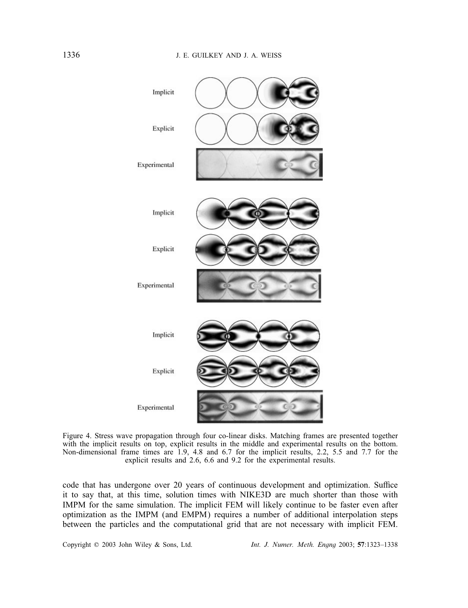

Figure 4. Stress wave propagation through four co-linear disks. Matching frames are presented together with the implicit results on top, explicit results in the middle and experimental results on the bottom. Non-dimensional frame times are 1.9, 4.8 and 6.7 for the implicit results, 2.2, 5.5 and 7.7 for the explicit results and 2.6, 6.6 and 9.2 for the experimental results.

code that has undergone over 20 years of continuous development and optimization. Suffice it to say that, at this time, solution times with NIKE3D are much shorter than those with IMPM for the same simulation. The implicit FEM will likely continue to be faster even after optimization as the IMPM (and EMPM) requires a number of additional interpolation steps between the particles and the computational grid that are not necessary with implicit FEM.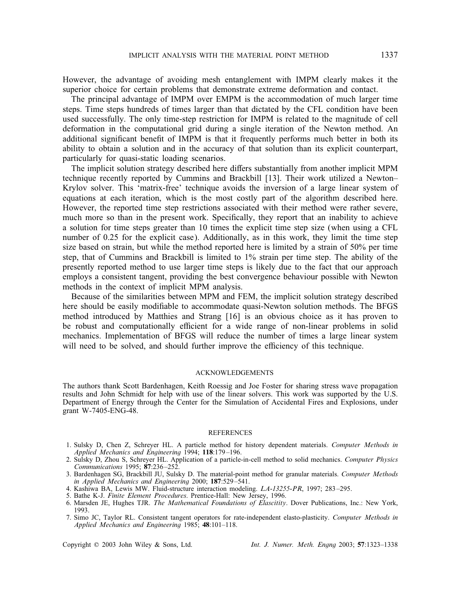However, the advantage of avoiding mesh entanglement with IMPM clearly makes it the superior choice for certain problems that demonstrate extreme deformation and contact.

The principal advantage of IMPM over EMPM is the accommodation of much larger time steps. Time steps hundreds of times larger than that dictated by the CFL condition have been used successfully. The only time-step restriction for IMPM is related to the magnitude of cell deformation in the computational grid during a single iteration of the Newton method. An additional significant benefit of IMPM is that it frequently performs much better in both its ability to obtain a solution and in the accuracy of that solution than its explicit counterpart, particularly for quasi-static loading scenarios.

The implicit solution strategy described here differs substantially from another implicit MPM technique recently reported by Cummins and Brackbill [13]. Their work utilized a Newton– Krylov solver. This 'matrix-free' technique avoids the inversion of a large linear system of equations at each iteration, which is the most costly part of the algorithm described here. However, the reported time step restrictions associated with their method were rather severe, much more so than in the present work. Specifically, they report that an inability to achieve a solution for time steps greater than 10 times the explicit time step size (when using a CFL number of 0.25 for the explicit case). Additionally, as in this work, they limit the time step size based on strain, but while the method reported here is limited by a strain of 50% per time step, that of Cummins and Brackbill is limited to 1% strain per time step. The ability of the presently reported method to use larger time steps is likely due to the fact that our approach employs a consistent tangent, providing the best convergence behaviour possible with Newton methods in the context of implicit MPM analysis.

Because of the similarities between MPM and FEM, the implicit solution strategy described here should be easily modifiable to accommodate quasi-Newton solution methods. The BFGS method introduced by Matthies and Strang [16] is an obvious choice as it has proven to be robust and computationally efficient for a wide range of non-linear problems in solid mechanics. Implementation of BFGS will reduce the number of times a large linear system will need to be solved, and should further improve the efficiency of this technique.

#### ACKNOWLEDGEMENTS

The authors thank Scott Bardenhagen, Keith Roessig and Joe Foster for sharing stress wave propagation results and John Schmidt for help with use of the linear solvers. This work was supported by the U.S. Department of Energy through the Center for the Simulation of Accidental Fires and Explosions, under grant W-7405-ENG-48.

#### **REFERENCES**

- 1. Sulsky D, Chen Z, Schreyer HL. A particle method for history dependent materials. *Computer Methods in Applied Mechanics and Engineering* 1994; 118:179 –196.
- 2. Sulsky D, Zhou S, Schreyer HL. Application of a particle-in-cell method to solid mechanics. *Computer Physics Communications* 1995; 87:236 –252.
- 3. Bardenhagen SG, Brackbill JU, Sulsky D. The material-point method for granular materials. *Computer Methods in Applied Mechanics and Engineering* 2000; 187:529-541.
- 4. Kashiwa BA, Lewis MW. Fluid-structure interaction modeling. *LA-13255-PR*, 1997; 283 –295.
- 5. Bathe K-J. *Finite Element Procedures*. Prentice-Hall: New Jersey, 1996.
- 6. Marsden JE, Hughes TJR. *The Mathematical Foundations of Elascitity*. Dover Publications, Inc.: New York, 1993.
- 7. Simo JC, Taylor RL. Consistent tangent operators for rate-independent elasto-plasticity. *Computer Methods in Applied Mechanics and Engineering* 1985; 48:101–118.